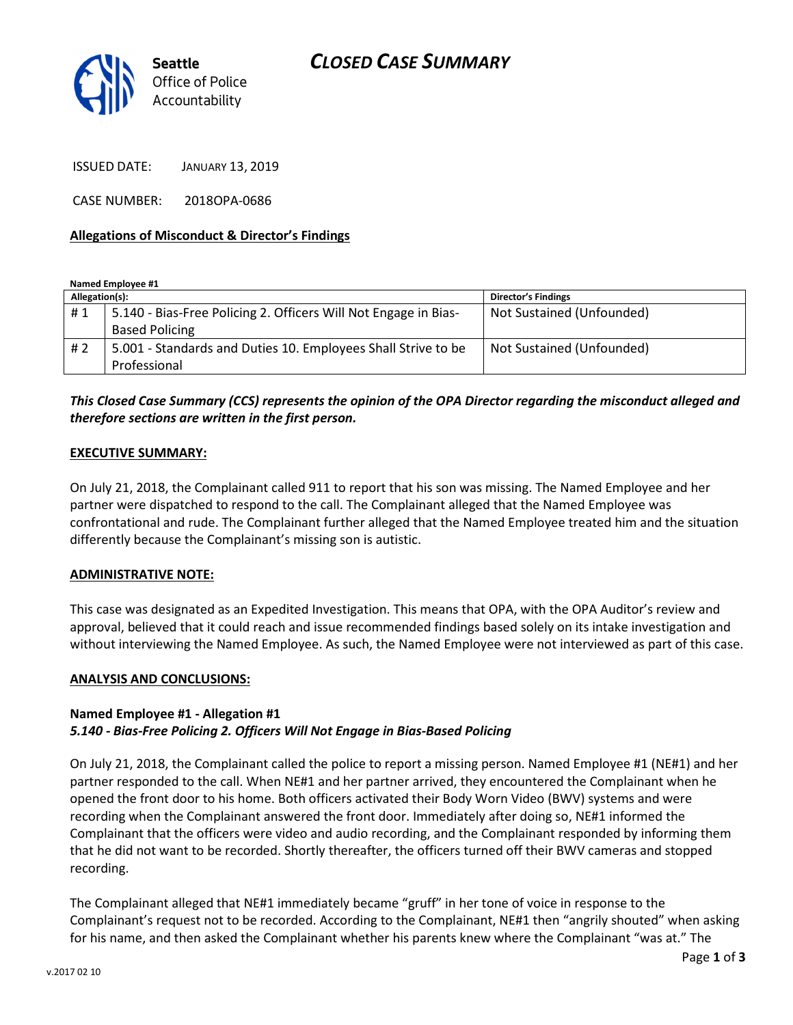# CLOSED CASE SUMMARY



ISSUED DATE: JANUARY 13, 2019

CASE NUMBER: 2018OPA-0686

#### Allegations of Misconduct & Director's Findings

Named Employee #1

| Allegation(s): |                                                                 | <b>Director's Findings</b> |
|----------------|-----------------------------------------------------------------|----------------------------|
| #1             | 5.140 - Bias-Free Policing 2. Officers Will Not Engage in Bias- | Not Sustained (Unfounded)  |
|                | <b>Based Policing</b>                                           |                            |
| #2             | 5.001 - Standards and Duties 10. Employees Shall Strive to be   | Not Sustained (Unfounded)  |
|                | Professional                                                    |                            |

### This Closed Case Summary (CCS) represents the opinion of the OPA Director regarding the misconduct alleged and therefore sections are written in the first person.

#### EXECUTIVE SUMMARY:

On July 21, 2018, the Complainant called 911 to report that his son was missing. The Named Employee and her partner were dispatched to respond to the call. The Complainant alleged that the Named Employee was confrontational and rude. The Complainant further alleged that the Named Employee treated him and the situation differently because the Complainant's missing son is autistic.

#### ADMINISTRATIVE NOTE:

This case was designated as an Expedited Investigation. This means that OPA, with the OPA Auditor's review and approval, believed that it could reach and issue recommended findings based solely on its intake investigation and without interviewing the Named Employee. As such, the Named Employee were not interviewed as part of this case.

#### ANALYSIS AND CONCLUSIONS:

#### Named Employee #1 - Allegation #1 5.140 - Bias-Free Policing 2. Officers Will Not Engage in Bias-Based Policing

On July 21, 2018, the Complainant called the police to report a missing person. Named Employee #1 (NE#1) and her partner responded to the call. When NE#1 and her partner arrived, they encountered the Complainant when he opened the front door to his home. Both officers activated their Body Worn Video (BWV) systems and were recording when the Complainant answered the front door. Immediately after doing so, NE#1 informed the Complainant that the officers were video and audio recording, and the Complainant responded by informing them that he did not want to be recorded. Shortly thereafter, the officers turned off their BWV cameras and stopped recording.

The Complainant alleged that NE#1 immediately became "gruff" in her tone of voice in response to the Complainant's request not to be recorded. According to the Complainant, NE#1 then "angrily shouted" when asking for his name, and then asked the Complainant whether his parents knew where the Complainant "was at." The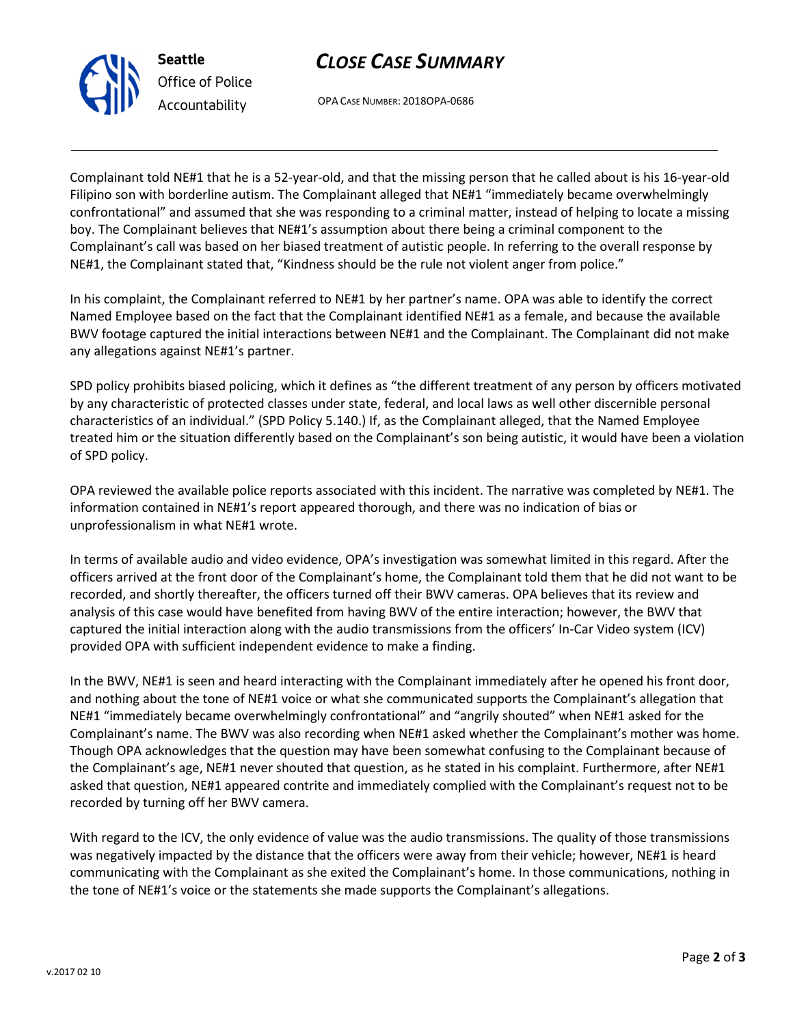# CLOSE CASE SUMMARY



Office of Police Accountability

OPA CASE NUMBER: 2018OPA-0686

Complainant told NE#1 that he is a 52-year-old, and that the missing person that he called about is his 16-year-old Filipino son with borderline autism. The Complainant alleged that NE#1 "immediately became overwhelmingly confrontational" and assumed that she was responding to a criminal matter, instead of helping to locate a missing boy. The Complainant believes that NE#1's assumption about there being a criminal component to the Complainant's call was based on her biased treatment of autistic people. In referring to the overall response by NE#1, the Complainant stated that, "Kindness should be the rule not violent anger from police."

In his complaint, the Complainant referred to NE#1 by her partner's name. OPA was able to identify the correct Named Employee based on the fact that the Complainant identified NE#1 as a female, and because the available BWV footage captured the initial interactions between NE#1 and the Complainant. The Complainant did not make any allegations against NE#1's partner.

SPD policy prohibits biased policing, which it defines as "the different treatment of any person by officers motivated by any characteristic of protected classes under state, federal, and local laws as well other discernible personal characteristics of an individual." (SPD Policy 5.140.) If, as the Complainant alleged, that the Named Employee treated him or the situation differently based on the Complainant's son being autistic, it would have been a violation of SPD policy.

OPA reviewed the available police reports associated with this incident. The narrative was completed by NE#1. The information contained in NE#1's report appeared thorough, and there was no indication of bias or unprofessionalism in what NE#1 wrote.

In terms of available audio and video evidence, OPA's investigation was somewhat limited in this regard. After the officers arrived at the front door of the Complainant's home, the Complainant told them that he did not want to be recorded, and shortly thereafter, the officers turned off their BWV cameras. OPA believes that its review and analysis of this case would have benefited from having BWV of the entire interaction; however, the BWV that captured the initial interaction along with the audio transmissions from the officers' In-Car Video system (ICV) provided OPA with sufficient independent evidence to make a finding.

In the BWV, NE#1 is seen and heard interacting with the Complainant immediately after he opened his front door, and nothing about the tone of NE#1 voice or what she communicated supports the Complainant's allegation that NE#1 "immediately became overwhelmingly confrontational" and "angrily shouted" when NE#1 asked for the Complainant's name. The BWV was also recording when NE#1 asked whether the Complainant's mother was home. Though OPA acknowledges that the question may have been somewhat confusing to the Complainant because of the Complainant's age, NE#1 never shouted that question, as he stated in his complaint. Furthermore, after NE#1 asked that question, NE#1 appeared contrite and immediately complied with the Complainant's request not to be recorded by turning off her BWV camera.

With regard to the ICV, the only evidence of value was the audio transmissions. The quality of those transmissions was negatively impacted by the distance that the officers were away from their vehicle; however, NE#1 is heard communicating with the Complainant as she exited the Complainant's home. In those communications, nothing in the tone of NE#1's voice or the statements she made supports the Complainant's allegations.